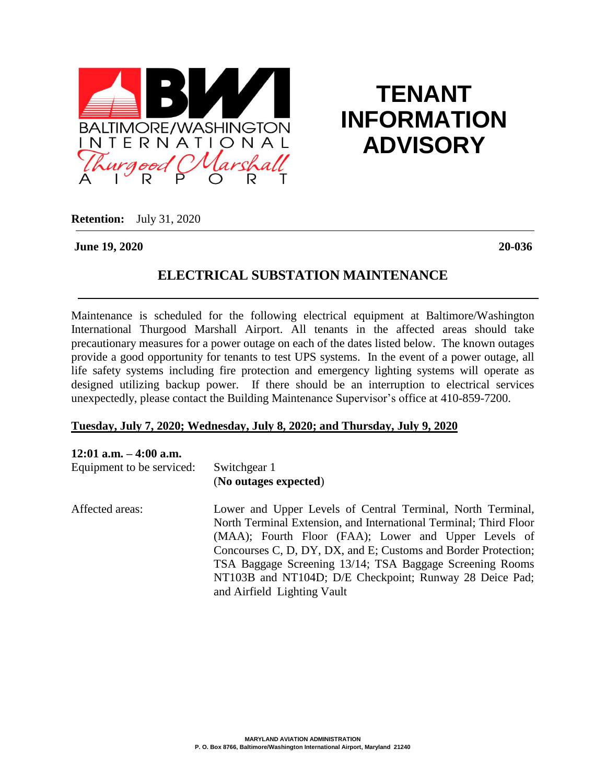

# **TENANT INFORMATION ADVISORY**

**Retention:** July 31, 2020

**June 19, 2020 20-036**

## **ELECTRICAL SUBSTATION MAINTENANCE**

Maintenance is scheduled for the following electrical equipment at Baltimore/Washington International Thurgood Marshall Airport. All tenants in the affected areas should take precautionary measures for a power outage on each of the dates listed below. The known outages provide a good opportunity for tenants to test UPS systems. In the event of a power outage, all life safety systems including fire protection and emergency lighting systems will operate as designed utilizing backup power. If there should be an interruption to electrical services unexpectedly, please contact the Building Maintenance Supervisor's office at 410-859-7200.

#### **Tuesday, July 7, 2020; Wednesday, July 8, 2020; and Thursday, July 9, 2020**

#### **12:01 a.m. – 4:00 a.m.**

| Equipment to be serviced: | Switchgear 1<br>(No outages expected)                                                                                                                                                                                                                                                                                                                                                                            |
|---------------------------|------------------------------------------------------------------------------------------------------------------------------------------------------------------------------------------------------------------------------------------------------------------------------------------------------------------------------------------------------------------------------------------------------------------|
| Affected areas:           | Lower and Upper Levels of Central Terminal, North Terminal,<br>North Terminal Extension, and International Terminal; Third Floor<br>(MAA); Fourth Floor (FAA); Lower and Upper Levels of<br>Concourses C, D, DY, DX, and E; Customs and Border Protection;<br>TSA Baggage Screening 13/14; TSA Baggage Screening Rooms<br>NT103B and NT104D; D/E Checkpoint; Runway 28 Deice Pad;<br>and Airfield Lighting Vault |